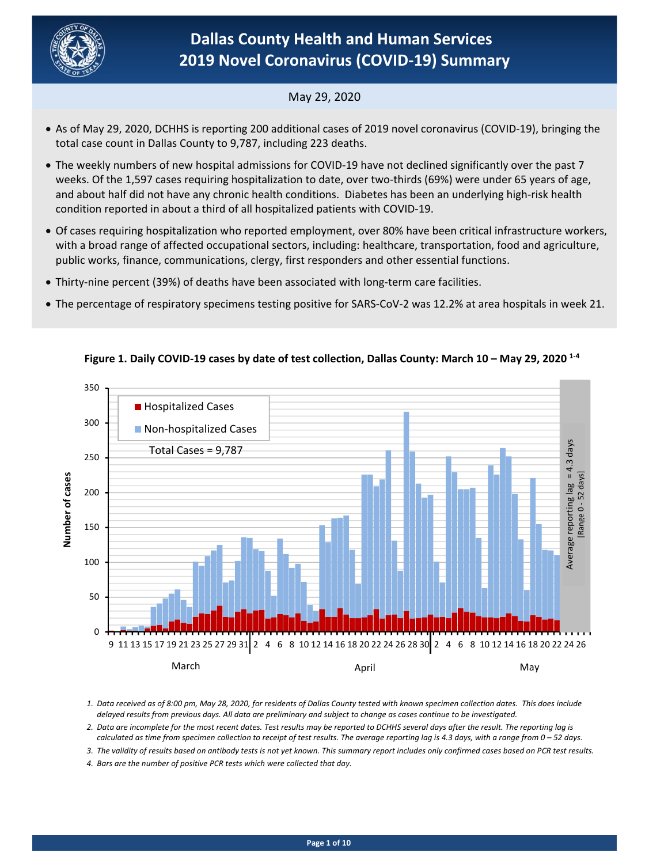

# **Dallas County Health and Human Services 2019 Novel Coronavirus (COVID‐19) Summary**

## May 29, 2020

- total case count in Dallas County to 9,787, including 223 deaths. As of May 29, 2020, DCHHS is reporting 200 additional cases of 2019 novel coronavirus (COVID‐19), bringing the
- The weekly numbers of new hospital admissions for COVID-19 have not declined significantly over the past 7 weeks. Of the 1,597 cases requiring hospitalization to date, over two-thirds (69%) were under 65 years of age, and about half did not have any chronic health conditions. Diabetes has been an underlying high-risk health condition reported in about a third of all hospitalized patients with COVID‐19.
- Of cases requiring hospitalization who reported employment, over 80% have been critical infrastructure workers, with a broad range of affected occupational sectors, including: healthcare, transportation, food and agriculture, public works, finance, communications, clergy, first responders and other essential functions.
- Thirty‐nine percent (39%) of deaths have been associated with long‐term care facilities.
- The percentage of respiratory specimens testing positive for SARS‐CoV‐2 was 12.2% at area hospitals in week 21.



## **Figure 1. Daily COVID‐19 cases by date of test collection, Dallas County: March 10 – May 29, 2020 1‐4**

*1. Data received as of 8:00 pm, May 28, 2020, for residents of Dallas County tested with known specimen collection dates. This does include delayed results from previous days. All data are preliminary and subject to change as cases continue to be investigated.* 

- *2. Data are incomplete for the most recent dates. Test results may be reported to DCHHS several days after the result. The reporting lag is calculated as time from specimen collection to receipt of test results. The average reporting lag is 4.3 days, with a range from 0 – 52 days.*
- *3. The validity of results based on antibody tests is not yet known. This summary report includes only confirmed cases based on PCR test results.*
- *4. Bars are the number of positive PCR tests which were collected that day.*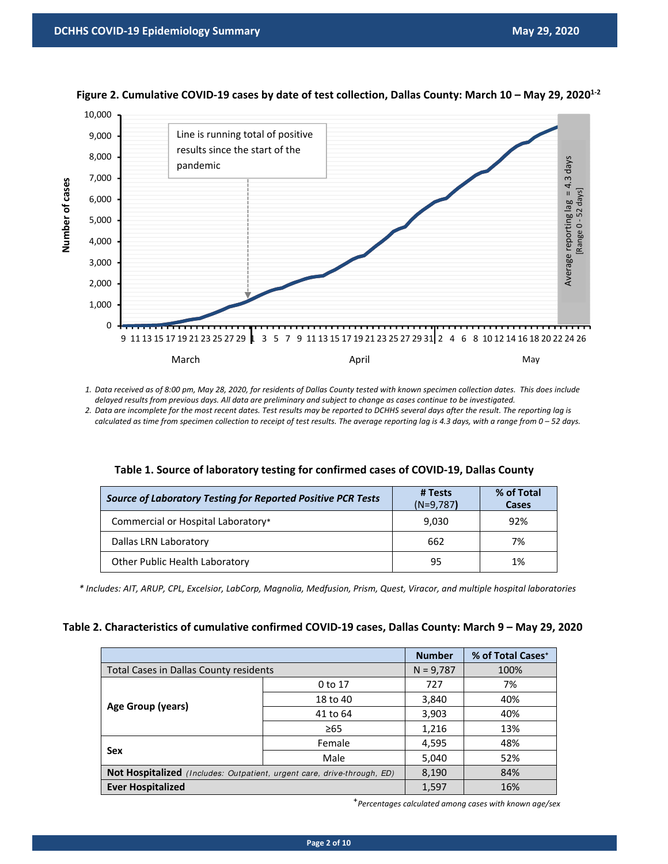



*1. Data received as of 8:00 pm, May 28, 2020, for residents of Dallas County tested with known specimen collection dates. This does include delayed results from previous days. All data are preliminary and subject to change as cases continue to be investigated.* 

*2. Data are incomplete for the most recent dates. Test results may be reported to DCHHS several days after the result. The reporting lag is calculated as time from specimen collection to receipt of test results. The average reporting lag is 4.3 days, with a range from 0 – 52 days.* 

| <b>Source of Laboratory Testing for Reported Positive PCR Tests</b> | # Tests<br>$(N=9,787)$ | % of Total<br><b>Cases</b> |
|---------------------------------------------------------------------|------------------------|----------------------------|
| Commercial or Hospital Laboratory*                                  | 9,030                  | 92%                        |
| Dallas LRN Laboratory                                               | 662                    | 7%                         |
| Other Public Health Laboratory                                      | 95                     | 1%                         |

|  |  | Table 1. Source of laboratory testing for confirmed cases of COVID-19, Dallas County |
|--|--|--------------------------------------------------------------------------------------|
|--|--|--------------------------------------------------------------------------------------|

*\* Includes: AIT, ARUP, CPL, Excelsior, LabCorp, Magnolia, Medfusion, Prism, Quest, Viracor, and multiple hospital laboratories*

| Table 2. Characteristics of cumulative confirmed COVID-19 cases, Dallas County: March 9 - May 29, 2020 |  |  |
|--------------------------------------------------------------------------------------------------------|--|--|
|--------------------------------------------------------------------------------------------------------|--|--|

|                                                                         | <b>Number</b> | % of Total Cases <sup>+</sup> |     |
|-------------------------------------------------------------------------|---------------|-------------------------------|-----|
| Total Cases in Dallas County residents                                  | $N = 9,787$   | 100%                          |     |
|                                                                         | 0 to 17       | 727                           | 7%  |
| Age Group (years)                                                       | 18 to 40      | 3,840                         | 40% |
|                                                                         | 41 to 64      | 3,903                         | 40% |
|                                                                         | $\geq 65$     | 1,216                         | 13% |
| Female                                                                  |               | 4,595                         | 48% |
| Sex                                                                     | Male          | 5,040                         | 52% |
| Not Hospitalized (Includes: Outpatient, urgent care, drive-through, ED) | 8,190         | 84%                           |     |
| <b>Ever Hospitalized</b>                                                |               | 1,597                         | 16% |

⁺*Percentages calculated among cases with known age/sex*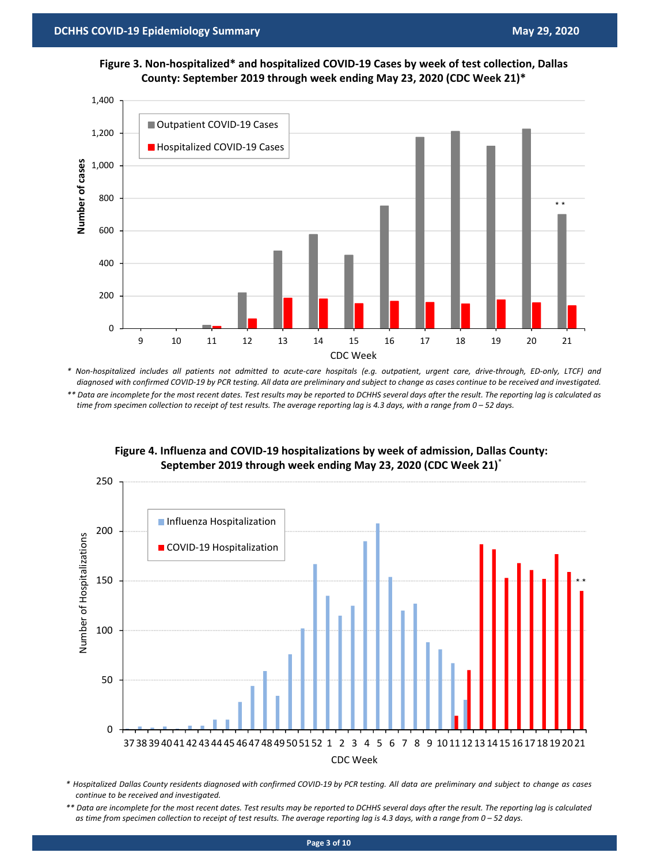



*\* Non‐hospitalized includes all patients not admitted to acute‐care hospitals (e.g. outpatient, urgent care, drive‐through, ED‐only, LTCF) and diagnosed with confirmed COVID‐19 by PCR testing. All data are preliminary and subject to change as cases continue to be received and investigated. \*\* Data are incomplete for the most recent dates. Test results may be reported to DCHHS several days after the result. The reporting lag is calculated as time from specimen collection to receipt of test results. The average reporting lag is 4.3 days, with a range from 0 – 52 days.* 



#### **Figure 4. Influenza and COVID‐19 hospitalizations by week of admission, Dallas County: September 2019 through week ending May 23, 2020 (CDC Week 21)**\*

*\* Hospitalized Dallas County residents diagnosed with confirmed COVID‐19 by PCR testing. All data are preliminary and subject to change as cases continue to be received and investigated.* 

*<sup>\*\*</sup> Data are incomplete for the most recent dates. Test results may be reported to DCHHS several days after the result. The reporting lag is calculated as time from specimen collection to receipt of test results. The average reporting lag is 4.3 days, with a range from 0 – 52 days.*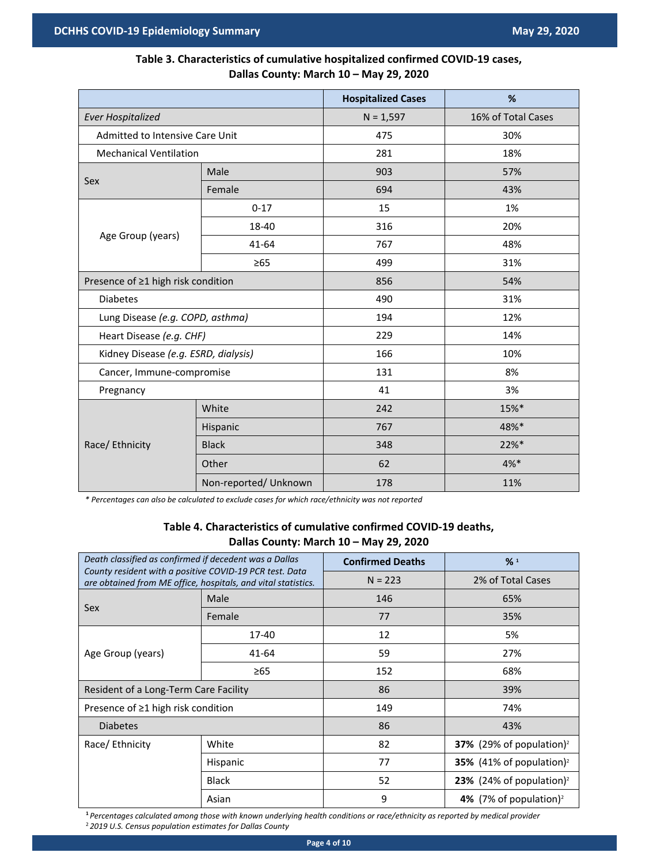## **Table 3. Characteristics of cumulative hospitalized confirmed COVID‐19 cases, Dallas County: March 10 – May 29, 2020**

|                                      |                       | <b>Hospitalized Cases</b> | %                  |  |
|--------------------------------------|-----------------------|---------------------------|--------------------|--|
| <b>Ever Hospitalized</b>             |                       | $N = 1,597$               | 16% of Total Cases |  |
| Admitted to Intensive Care Unit      |                       | 475                       | 30%                |  |
| <b>Mechanical Ventilation</b>        |                       | 281                       | 18%                |  |
| Sex                                  | Male                  | 903                       | 57%                |  |
|                                      | Female                | 694                       | 43%                |  |
|                                      | $0 - 17$              | 15                        | 1%                 |  |
| Age Group (years)                    | 18-40                 | 316                       | 20%                |  |
|                                      | 41-64                 | 767                       | 48%                |  |
|                                      | $\geq 65$             | 499                       | 31%                |  |
| Presence of ≥1 high risk condition   |                       | 856                       | 54%                |  |
| <b>Diabetes</b>                      |                       | 490                       | 31%                |  |
| Lung Disease (e.g. COPD, asthma)     |                       | 194                       | 12%                |  |
| Heart Disease (e.g. CHF)             |                       | 229                       | 14%                |  |
| Kidney Disease (e.g. ESRD, dialysis) |                       | 166                       | 10%                |  |
| Cancer, Immune-compromise            |                       | 131                       | 8%                 |  |
| Pregnancy                            |                       | 41                        | 3%                 |  |
|                                      | White                 | 242                       | 15%*               |  |
| Race/ Ethnicity                      | Hispanic              | 767                       | 48%*               |  |
|                                      | <b>Black</b>          | 348                       | 22%*               |  |
|                                      | Other                 | 62                        | $4%$ *             |  |
|                                      | Non-reported/ Unknown | 178                       | 11%                |  |

*\* Percentages can also be calculated to exclude cases for which race/ethnicity was not reported*

#### **Table 4. Characteristics of cumulative confirmed COVID‐19 deaths, Dallas County: March 10 – May 29, 2020**

| Death classified as confirmed if decedent was a Dallas<br>County resident with a positive COVID-19 PCR test. Data<br>are obtained from ME office, hospitals, and vital statistics. |          | <b>Confirmed Deaths</b> | %1                                   |  |
|------------------------------------------------------------------------------------------------------------------------------------------------------------------------------------|----------|-------------------------|--------------------------------------|--|
|                                                                                                                                                                                    |          | $N = 223$               | 2% of Total Cases                    |  |
|                                                                                                                                                                                    | Male     | 146                     | 65%                                  |  |
| Sex                                                                                                                                                                                | Female   | 77                      | 35%                                  |  |
|                                                                                                                                                                                    | 17-40    | 12                      | 5%                                   |  |
| Age Group (years)                                                                                                                                                                  | 41-64    | 59                      | 27%                                  |  |
|                                                                                                                                                                                    | ≥65      | 152                     | 68%                                  |  |
| Resident of a Long-Term Care Facility                                                                                                                                              |          | 86                      | 39%                                  |  |
| Presence of $\geq 1$ high risk condition                                                                                                                                           |          | 149                     | 74%                                  |  |
| <b>Diabetes</b>                                                                                                                                                                    |          | 86                      | 43%                                  |  |
| Race/ Ethnicity                                                                                                                                                                    | White    | 82                      | 37% (29% of population) <sup>2</sup> |  |
|                                                                                                                                                                                    | Hispanic | 77                      | 35% (41% of population) <sup>2</sup> |  |
| <b>Black</b><br>Asian                                                                                                                                                              |          | 52                      | 23% (24% of population) <sup>2</sup> |  |
|                                                                                                                                                                                    |          | 9                       | 4% (7% of population) <sup>2</sup>   |  |

**<sup>1</sup>***Percentages calculated among those with known underlying health conditions or race/ethnicity as reported by medical provider*  2 *2019 U.S. Census population estimates for Dallas County*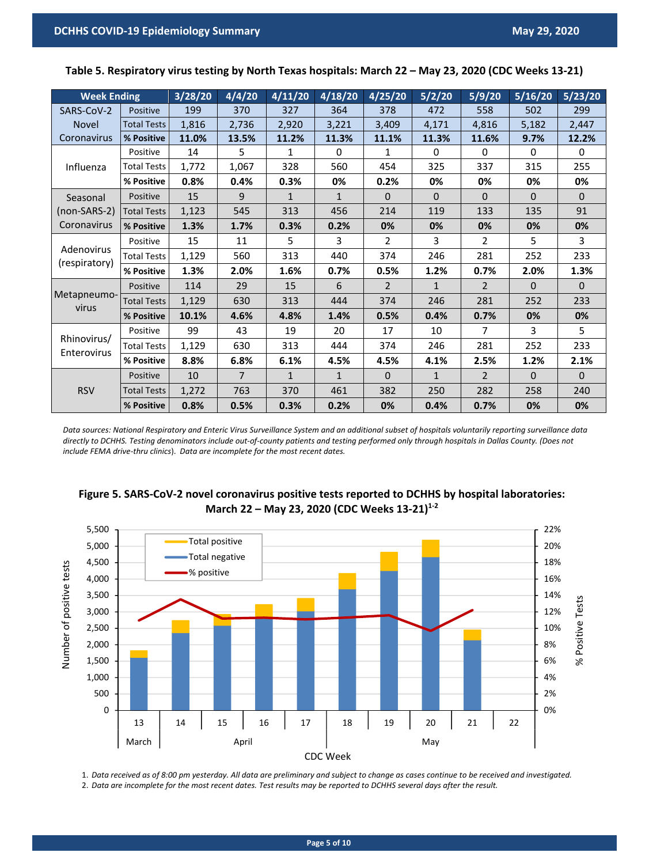| <b>Week Ending</b>          |                    | 3/28/20 | 4/4/20         | 4/11/20      | 4/18/20        | 4/25/20        | 5/2/20       | 5/9/20         | 5/16/20      | 5/23/20      |
|-----------------------------|--------------------|---------|----------------|--------------|----------------|----------------|--------------|----------------|--------------|--------------|
| SARS-CoV-2                  | Positive           | 199     | 370            | 327          | 364            | 378            | 472          | 558            | 502          | 299          |
| <b>Novel</b>                | <b>Total Tests</b> | 1,816   | 2,736          | 2,920        | 3,221          | 3,409          | 4,171        | 4,816          | 5,182        | 2,447        |
| Coronavirus                 | % Positive         | 11.0%   | 13.5%          | 11.2%        | 11.3%          | 11.1%          | 11.3%        | 11.6%          | 9.7%         | 12.2%        |
|                             | Positive           | 14      | 5              | 1            | $\Omega$       | 1              | $\mathbf{0}$ | 0              | $\Omega$     | 0            |
| Influenza                   | <b>Total Tests</b> | 1,772   | 1,067          | 328          | 560            | 454            | 325          | 337            | 315          | 255          |
|                             | % Positive         | 0.8%    | 0.4%           | 0.3%         | 0%             | 0.2%           | 0%           | 0%             | 0%           | 0%           |
| Seasonal                    | Positive           | 15      | 9              | $\mathbf{1}$ | $\mathbf{1}$   | $\Omega$       | $\Omega$     | $\Omega$       | $\mathbf{0}$ | $\mathbf{0}$ |
| (non-SARS-2)                | <b>Total Tests</b> | 1,123   | 545            | 313          | 456            | 214            | 119          | 133            | 135          | 91           |
| Coronavirus                 | % Positive         | 1.3%    | 1.7%           | 0.3%         | 0.2%           | 0%             | 0%           | 0%             | 0%           | 0%           |
|                             | Positive           | 15      | 11             | 5            | $\overline{3}$ | $\overline{2}$ | 3            | $\overline{2}$ | 5            | 3            |
| Adenovirus<br>(respiratory) | <b>Total Tests</b> | 1,129   | 560            | 313          | 440            | 374            | 246          | 281            | 252          | 233          |
|                             | % Positive         | 1.3%    | 2.0%           | 1.6%         | 0.7%           | 0.5%           | 1.2%         | 0.7%           | 2.0%         | 1.3%         |
|                             | Positive           | 114     | 29             | 15           | 6              | $\overline{2}$ | $\mathbf{1}$ | $\overline{2}$ | $\Omega$     | $\Omega$     |
| Metapneumo-<br>virus        | <b>Total Tests</b> | 1,129   | 630            | 313          | 444            | 374            | 246          | 281            | 252          | 233          |
|                             | % Positive         | 10.1%   | 4.6%           | 4.8%         | 1.4%           | 0.5%           | 0.4%         | 0.7%           | 0%           | 0%           |
|                             | Positive           | 99      | 43             | 19           | 20             | 17             | 10           | 7              | 3            | 5            |
| Rhinovirus/<br>Enterovirus  | <b>Total Tests</b> | 1,129   | 630            | 313          | 444            | 374            | 246          | 281            | 252          | 233          |
|                             | % Positive         | 8.8%    | 6.8%           | 6.1%         | 4.5%           | 4.5%           | 4.1%         | 2.5%           | 1.2%         | 2.1%         |
|                             | Positive           | 10      | $\overline{7}$ | $\mathbf{1}$ | $\mathbf{1}$   | $\Omega$       | $\mathbf{1}$ | $\overline{2}$ | $\mathbf{0}$ | $\Omega$     |
| <b>RSV</b>                  | <b>Total Tests</b> | 1,272   | 763            | 370          | 461            | 382            | 250          | 282            | 258          | 240          |
|                             | % Positive         | 0.8%    | 0.5%           | 0.3%         | 0.2%           | 0%             | 0.4%         | 0.7%           | 0%           | 0%           |

**Table 5. Respiratory virus testing by North Texas hospitals: March 22 – May 23, 2020 (CDC Weeks 13‐21)** 

*Data sources: National Respiratory and Enteric Virus Surveillance System and an additional subset of hospitals voluntarily reporting surveillance data directly to DCHHS. Testing denominators include out‐of‐county patients and testing performed only through hospitals in Dallas County. (Does not include FEMA drive‐thru clinics*). *Data are incomplete for the most recent dates.* 





1. *Data received as of 8:00 pm yesterday. All data are preliminary and subject to change as cases continue to be received and investigated.* 2. *Data are incomplete for the most recent dates. Test results may be reported to DCHHS several days after the result.*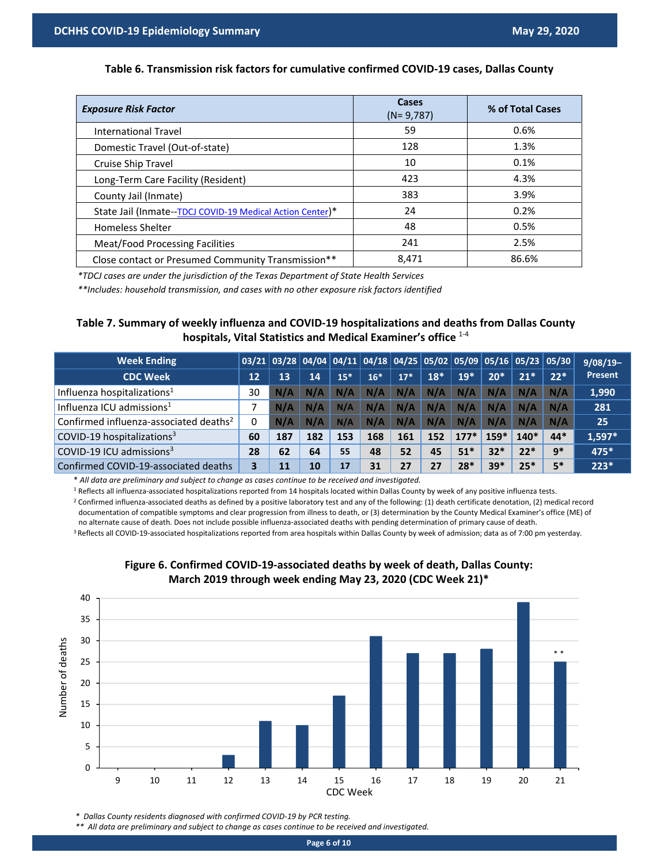#### **Table 6. Transmission risk factors for cumulative confirmed COVID‐19 cases, Dallas County**

| <b>Exposure Risk Factor</b>                               | Cases<br>$(N = 9, 787)$ | % of Total Cases |
|-----------------------------------------------------------|-------------------------|------------------|
| <b>International Travel</b>                               | 59                      | 0.6%             |
| Domestic Travel (Out-of-state)                            | 128                     | 1.3%             |
| Cruise Ship Travel                                        | 10                      | 0.1%             |
| Long-Term Care Facility (Resident)                        | 423                     | 4.3%             |
| County Jail (Inmate)                                      | 383                     | 3.9%             |
| State Jail (Inmate--TDCJ COVID-19 Medical Action Center)* | 24                      | 0.2%             |
| <b>Homeless Shelter</b>                                   | 48                      | 0.5%             |
| Meat/Food Processing Facilities                           | 241                     | 2.5%             |
| Close contact or Presumed Community Transmission**        | 8,471                   | 86.6%            |

*\*TDCJ cases are under the jurisdiction of the Texas Department of State Health Services* 

*\*\*Includes: household transmission, and cases with no other exposure risk factors identified*

#### **Table 7. Summary of weekly influenza and COVID‐19 hospitalizations and deaths from Dallas County hospitals, Vital Statistics and Medical Examiner's office** 1‐4

| <b>Week Ending</b>                                 |    |     |     |       |       |       |       |        |        | $03/21$ 03/28 04/04 04/11 04/18 04/25 05/02 05/09 05/16 05/23 05/30 |       | $9/08/19-$ |
|----------------------------------------------------|----|-----|-----|-------|-------|-------|-------|--------|--------|---------------------------------------------------------------------|-------|------------|
| <b>CDC Week</b>                                    | 12 | 13  | 14  | $15*$ | $16*$ | $17*$ | $18*$ | $19*$  | $20*$  | $21*$                                                               | $22*$ | Present    |
| Influenza hospitalizations <sup>1</sup>            | 30 | N/A | N/A | N/A   | N/A   | N/A   | N/A   | N/A    | N/A    | N/A                                                                 | N/A   | 1,990      |
| Influenza ICU admissions <sup>1</sup>              |    | N/A | N/A | N/A   | N/A   | N/A   | N/A   | N/A    | N/A    | N/A                                                                 | N/A   | 281        |
| Confirmed influenza-associated deaths <sup>2</sup> | 0  | N/A | N/A | N/A   | N/A   | N/A   | N/A   | N/A    | N/A    | N/A                                                                 | N/A   | 25         |
| COVID-19 hospitalizations <sup>3</sup>             | 60 | 187 | 182 | 153   | 168   | 161   | 152   | $177*$ | $159*$ | $140*$                                                              | $44*$ | $1,597*$   |
| COVID-19 ICU admissions <sup>3</sup>               | 28 | 62  | 64  | 55    | 48    | 52    | 45    | $51*$  | $32*$  | $22*$                                                               | $9*$  | 475*       |
| Confirmed COVID-19-associated deaths               | 3. | 11  | 10  | 17    | 31    | 27    | 27    | $28*$  | $39*$  | $25*$                                                               | $5*$  | $223*$     |

\* *All data are preliminary and subject to change as cases continue to be received and investigated.* 

<sup>1</sup> Reflects all influenza-associated hospitalizations reported from 14 hospitals located within Dallas County by week of any positive influenza tests.

<sup>2</sup> Confirmed influenza-associated deaths as defined by a positive laboratory test and any of the following: (1) death certificate denotation, (2) medical record documentation of compatible symptoms and clear progression from illness to death, or (3) determination by the County Medical Examiner's office (ME) of no alternate cause of death. Does not include possible influenza‐associated deaths with pending determination of primary cause of death.

<sup>3</sup> Reflects all COVID-19-associated hospitalizations reported from area hospitals within Dallas County by week of admission; data as of 7:00 pm yesterday.



#### **Figure 6. Confirmed COVID‐19‐associated deaths by week of death, Dallas County: March 2019 through week ending May 23, 2020 (CDC Week 21)\***

*\* Dallas County residents diagnosed with confirmed COVID‐19 by PCR testing.* 

*\*\* All data are preliminary and subject to change as cases continue to be received and investigated.*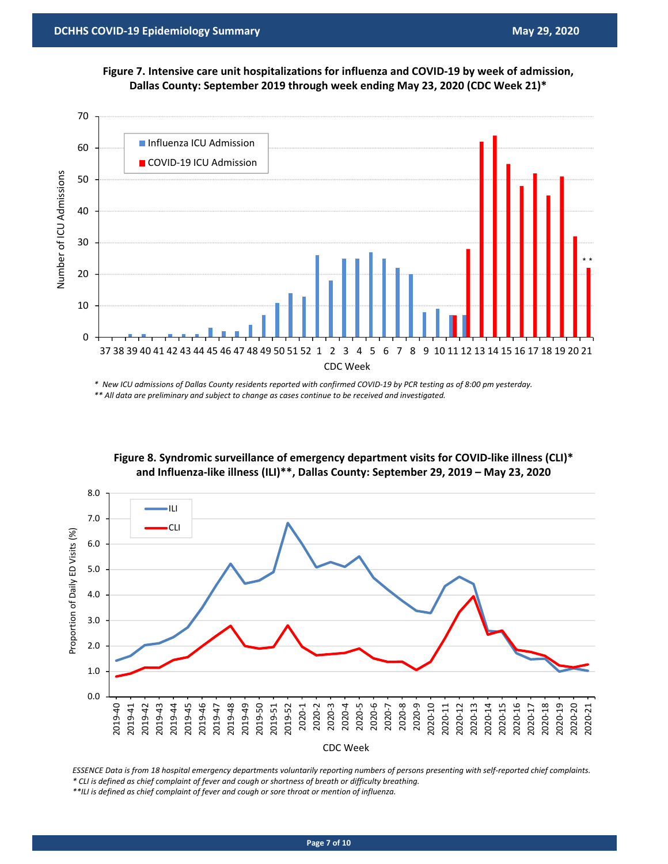**Figure 7. Intensive care unit hospitalizations for influenza and COVID‐19 by week of admission, Dallas County: September 2019 through week ending May 23, 2020 (CDC Week 21)\***



*\* New ICU admissions of Dallas County residents reported with confirmed COVID‐19 by PCR testing as of 8:00 pm yesterday. \*\* All data are preliminary and subject to change as cases continue to be received and investigated.* 



**Figure 8. Syndromic surveillance of emergency department visits for COVID‐like illness (CLI)\* and Influenza‐like illness (ILI)\*\*, Dallas County: September 29, 2019 – May 23, 2020** 

*ESSENCE Data is from 18 hospital emergency departments voluntarily reporting numbers of persons presenting with self‐reported chief complaints. \* CLI is defined as chief complaint of fever and cough or shortness of breath or difficulty breathing.* 

*\*\*ILI is defined as chief complaint of fever and cough or sore throat or mention of influenza.*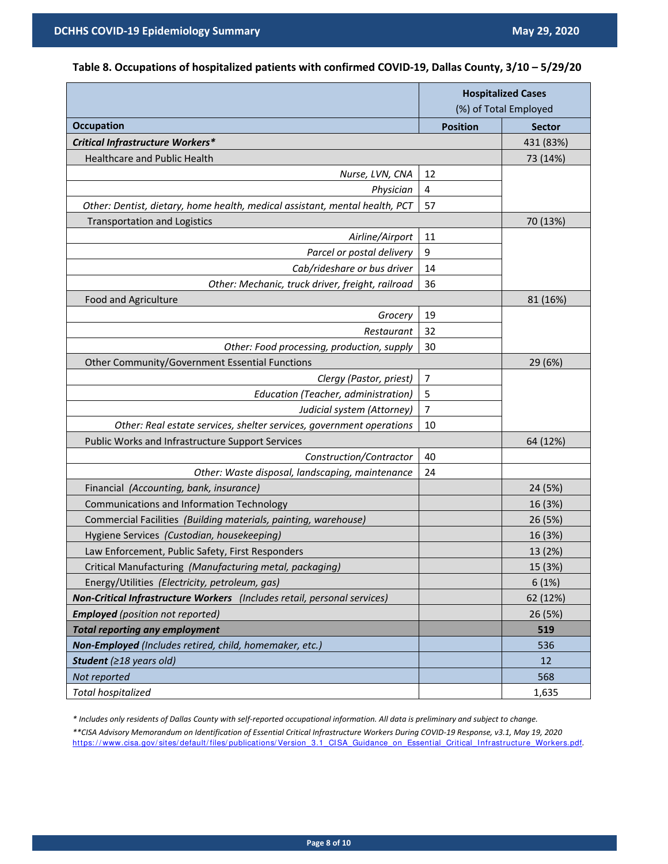## **Table 8. Occupations of hospitalized patients with confirmed COVID‐19, Dallas County, 3/10 – 5/29/20**

|                                                                             | <b>Hospitalized Cases</b><br>(%) of Total Employed |               |
|-----------------------------------------------------------------------------|----------------------------------------------------|---------------|
| <b>Occupation</b>                                                           | <b>Position</b>                                    | <b>Sector</b> |
| Critical Infrastructure Workers*                                            |                                                    | 431 (83%)     |
| <b>Healthcare and Public Health</b>                                         |                                                    | 73 (14%)      |
| Nurse, LVN, CNA                                                             | 12                                                 |               |
| Physician                                                                   | $\overline{4}$                                     |               |
| Other: Dentist, dietary, home health, medical assistant, mental health, PCT | 57                                                 |               |
| <b>Transportation and Logistics</b>                                         |                                                    | 70 (13%)      |
| Airline/Airport                                                             | 11                                                 |               |
| Parcel or postal delivery                                                   | 9                                                  |               |
| Cab/rideshare or bus driver                                                 | 14                                                 |               |
| Other: Mechanic, truck driver, freight, railroad                            | 36                                                 |               |
| Food and Agriculture                                                        |                                                    | 81 (16%)      |
| Grocery                                                                     | 19                                                 |               |
| Restaurant                                                                  | 32                                                 |               |
| Other: Food processing, production, supply                                  | 30                                                 |               |
| Other Community/Government Essential Functions                              |                                                    | 29 (6%)       |
| Clergy (Pastor, priest)                                                     | 7                                                  |               |
| Education (Teacher, administration)                                         | 5                                                  |               |
| Judicial system (Attorney)                                                  | 7                                                  |               |
| Other: Real estate services, shelter services, government operations        | 10                                                 |               |
| Public Works and Infrastructure Support Services                            |                                                    | 64 (12%)      |
| Construction/Contractor                                                     | 40                                                 |               |
| Other: Waste disposal, landscaping, maintenance                             | 24                                                 |               |
| Financial (Accounting, bank, insurance)                                     |                                                    | 24 (5%)       |
| Communications and Information Technology                                   |                                                    | 16 (3%)       |
| Commercial Facilities (Building materials, painting, warehouse)             |                                                    | 26 (5%)       |
| Hygiene Services (Custodian, housekeeping)                                  |                                                    | 16 (3%)       |
| Law Enforcement, Public Safety, First Responders                            |                                                    | 13 (2%)       |
| Critical Manufacturing (Manufacturing metal, packaging)                     |                                                    | 15 (3%)       |
| Energy/Utilities (Electricity, petroleum, gas)                              |                                                    | 6(1%)         |
| Non-Critical Infrastructure Workers (Includes retail, personal services)    |                                                    | 62 (12%)      |
| <b>Employed</b> (position not reported)                                     |                                                    | 26 (5%)       |
| <b>Total reporting any employment</b>                                       |                                                    | 519           |
| Non-Employed (Includes retired, child, homemaker, etc.)                     |                                                    | 536           |
| Student ( $\geq$ 18 years old)                                              |                                                    | 12            |
| Not reported                                                                |                                                    | 568           |
| Total hospitalized                                                          |                                                    | 1,635         |

*\* Includes only residents of Dallas County with self‐reported occupational information. All data is preliminary and subject to change.* 

*\*\*CISA Advisory Memorandum on Identification of Essential Critical Infrastructure Workers During COVID‐19 Response, v3.1, May 19, 2020*  https://www.cisa.gov/sites/default/files/publications/Version\_3.1\_CISA\_Guidance\_on\_Essential\_Critical\_Infrastructure\_Workers.pdf.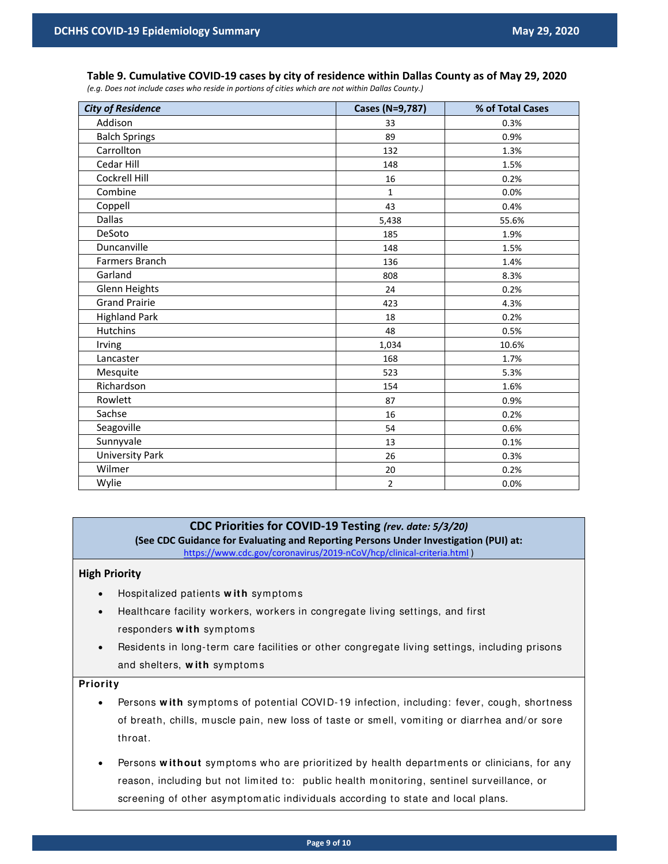## **Table 9. Cumulative COVID‐19 cases by city of residence within Dallas County as of May 29, 2020**

*(e.g. Does not include cases who reside in portions of cities which are not within Dallas County.)*

| <b>City of Residence</b> | Cases (N=9,787) | % of Total Cases |
|--------------------------|-----------------|------------------|
| Addison                  | 33              | 0.3%             |
| <b>Balch Springs</b>     | 89              | 0.9%             |
| Carrollton               | 132             | 1.3%             |
| Cedar Hill               | 148             | 1.5%             |
| Cockrell Hill            | 16              | 0.2%             |
| Combine                  | $\mathbf{1}$    | 0.0%             |
| Coppell                  | 43              | 0.4%             |
| Dallas                   | 5,438           | 55.6%            |
| DeSoto                   | 185             | 1.9%             |
| Duncanville              | 148             | 1.5%             |
| Farmers Branch           | 136             | 1.4%             |
| Garland                  | 808             | 8.3%             |
| Glenn Heights            | 24              | 0.2%             |
| <b>Grand Prairie</b>     | 423             | 4.3%             |
| <b>Highland Park</b>     | 18              | 0.2%             |
| <b>Hutchins</b>          | 48              | 0.5%             |
| Irving                   | 1,034           | 10.6%            |
| Lancaster                | 168             | 1.7%             |
| Mesquite                 | 523             | 5.3%             |
| Richardson               | 154             | 1.6%             |
| Rowlett                  | 87              | 0.9%             |
| Sachse                   | 16              | 0.2%             |
| Seagoville               | 54              | 0.6%             |
| Sunnyvale                | 13              | 0.1%             |
| <b>University Park</b>   | 26              | 0.3%             |
| Wilmer                   | 20              | 0.2%             |
| Wylie                    | $\overline{2}$  | 0.0%             |

## **CDC Priorities for COVID‐19 Testing** *(rev. date: 5/3/20)*

**(See CDC Guidance for Evaluating and Reporting Persons Under Investigation (PUI) at:**  https://www.cdc.gov/coronavirus/2019-nCoV/hcp/clinical-criteria.html)

#### **High Priority**

- Hospitalized patients **w ith** sym ptom s
- Healthcare facility workers, workers in congregate living settings, and first responders **w ith** sym ptom s
- Residents in long-term care facilities or other congregate living settings, including prisons and shelters, **w ith** sym ptom s

#### **Priority**

- Persons **w ith** sym ptom s of potential COVI D-19 infection, including: fever, cough, shortness of breath, chills, muscle pain, new loss of taste or smell, vomiting or diarrhea and/or sore throat.
- Persons without symptoms who are prioritized by health departments or clinicians, for any reason, including but not limited to: public health m onitoring, sentinel surveillance, or screening of other asymptomatic individuals according to state and local plans.